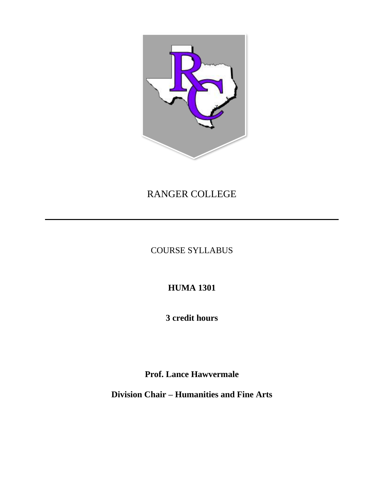

# RANGER COLLEGE

COURSE SYLLABUS

**HUMA 1301**

**3 credit hours**

**Prof. Lance Hawvermale**

**Division Chair – Humanities and Fine Arts**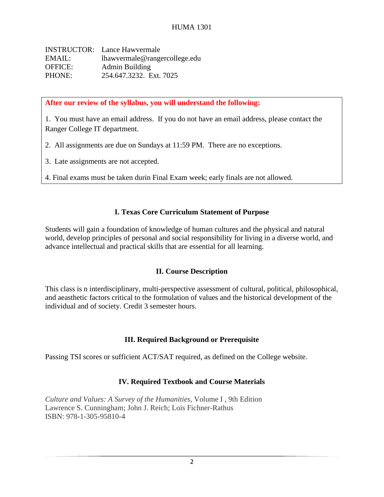INSTRUCTOR: Lance Hawvermale EMAIL: lhawvermale@rangercollege.edu OFFICE: Admin Building PHONE: 254.647.3232. Ext. 7025

**After our review of the syllabus, you will understand the following:**

1. You must have an email address. If you do not have an email address, please contact the Ranger College IT department.

2. All assignments are due on Sundays at 11:59 PM. There are no exceptions.

3. Late assignments are not accepted.

4. Final exams must be taken durin Final Exam week; early finals are not allowed.

## **I. Texas Core Curriculum Statement of Purpose**

Students will gain a foundation of knowledge of human cultures and the physical and natural world, develop principles of personal and social responsibility for living in a diverse world, and advance intellectual and practical skills that are essential for all learning.

## **II. Course Description**

This class is n interdisciplinary, multi-perspective assessment of cultural, political, philosophical, and aeasthetic factors critical to the formulation of values and the historical development of the individual and of society. Credit 3 semester hours.

## **III. Required Background or Prerequisite**

Passing TSI scores or sufficient ACT/SAT required, as defined on the College website.

## **IV. Required Textbook and Course Materials**

*Culture and Values: A Survey of the Humanities*, Volume I , 9th Edition Lawrence S. Cunningham; John J. Reich; Lois Fichner-Rathus ISBN: 978-1-305-95810-4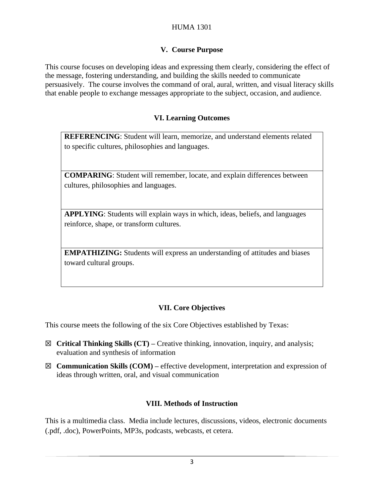## HUMA 1301

### **V. Course Purpose**

This course focuses on developing ideas and expressing them clearly, considering the effect of the message, fostering understanding, and building the skills needed to communicate persuasively. The course involves the command of oral, aural, written, and visual literacy skills that enable people to exchange messages appropriate to the subject, occasion, and audience.

#### **VI. Learning Outcomes**

**REFERENCING**: Student will learn, memorize, and understand elements related to specific cultures, philosophies and languages.

**COMPARING**: Student will remember, locate, and explain differences between cultures, philosophies and languages.

**APPLYING**: Students will explain ways in which, ideas, beliefs, and languages reinforce, shape, or transform cultures.

**EMPATHIZING:** Students will express an understanding of attitudes and biases toward cultural groups.

## **VII. Core Objectives**

This course meets the following of the six Core Objectives established by Texas:

- ☒ **Critical Thinking Skills (CT) –** Creative thinking, innovation, inquiry, and analysis; evaluation and synthesis of information
- ☒ **Communication Skills (COM) –** effective development, interpretation and expression of ideas through written, oral, and visual communication

#### **VIII. Methods of Instruction**

This is a multimedia class. Media include lectures, discussions, videos, electronic documents (.pdf, .doc), PowerPoints, MP3s, podcasts, webcasts, et cetera.